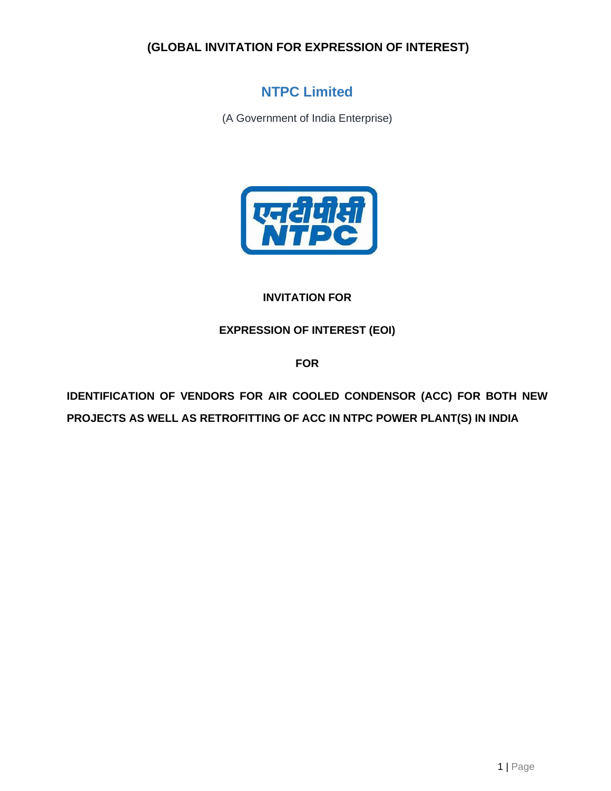# **NTPC Limited**

(A Government of India Enterprise)



# **INVITATION FOR**

**EXPRESSION OF INTEREST (EOI)**

**FOR**

**IDENTIFICATION OF VENDORS FOR AIR COOLED CONDENSOR (ACC) FOR BOTH NEW PROJECTS AS WELL AS RETROFITTING OF ACC IN NTPC POWER PLANT(S) IN INDIA**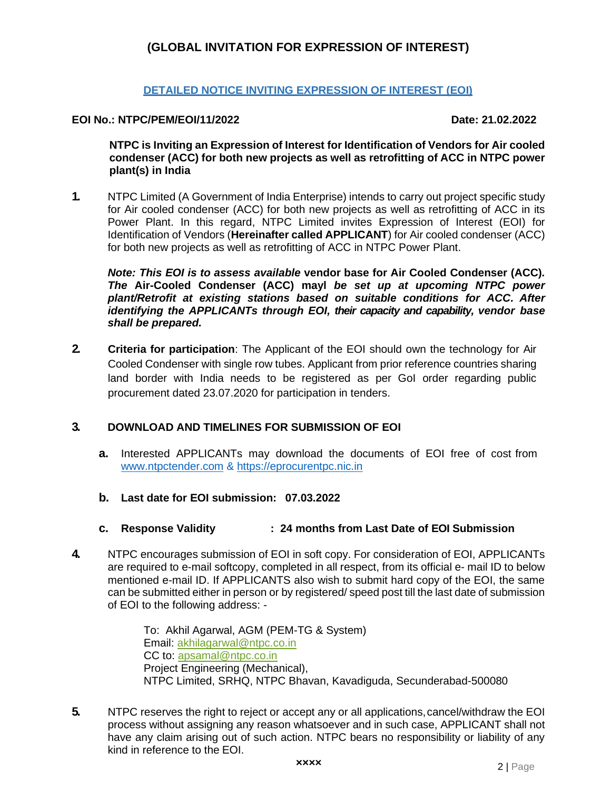#### **DETAILED NOTICE INVITING EXPRESSION OF INTEREST (EOI)**

#### **EOI No.: NTPC/PEM/EOI/11/2022 Date: 21.02.2022**

**NTPC is Inviting an Expression of Interest for Identification of Vendors for Air cooled condenser (ACC) for both new projects as well as retrofitting of ACC in NTPC power plant(s) in India** 

**1.** NTPC Limited (A Government of India Enterprise) intends to carry out project specific study for Air cooled condenser (ACC) for both new projects as well as retrofitting of ACC in its Power Plant. In this regard, NTPC Limited invites Expression of Interest (EOI) for Identification of Vendors (**Hereinafter called APPLICANT**) for Air cooled condenser (ACC) for both new projects as well as retrofitting of ACC in NTPC Power Plant.

*Note: This EOI is to assess available* **vendor base for Air Cooled Condenser (ACC)***. The* **Air-Cooled Condenser (ACC) mayl** *be set up at upcoming NTPC power plant/Retrofit at existing stations based on suitable conditions for ACC. After identifying the APPLICANTs through EOI, their capacity and capability, vendor base shall be prepared.*

**2. Criteria for participation**: The Applicant of the EOI should own the technology for Air Cooled Condenser with single row tubes. Applicant from prior reference countries sharing land border with India needs to be registered as per GoI order regarding public procurement dated 23.07.2020 for participation in tenders.

#### **3. DOWNLOAD AND TIMELINES FOR SUBMISSION OF EOI**

- **a.** Interested APPLICANTs may download the documents of EOI free of cost fro[m](http://www.ntpctender.com/) [www.ntpctender.com](http://www.ntpctender.com/) & https://eprocurentpc.nic.in
- **b. Last date for EOI submission: 07.03.2022**

#### **c. Response Validity : 24 months from Last Date of EOI Submission**

**4.** NTPC encourages submission of EOI in soft copy. For consideration of EOI, APPLICANTs are required to e-mail softcopy, completed in all respect, from its official e- mail ID to below mentioned e-mail ID. If APPLICANTS also wish to submit hard copy of the EOI, the same can be submitted either in person or by registered/ speed post till the last date of submission of EOI to the following address: -

> To: Akhil Agarwal, AGM (PEM-TG & System) Email: akhilagarwal@ntpc.co.in CC to: [apsamal@ntpc.co.in](mailto:apsamal@ntpc.co.in) Project Engineering (Mechanical), NTPC Limited, SRHQ, NTPC Bhavan, Kavadiguda, Secunderabad-500080

**5.** NTPC reserves the right to reject or accept any or all applications,cancel/withdraw the EOI process without assigning any reason whatsoever and in such case, APPLICANT shall not have any claim arising out of such action. NTPC bears no responsibility or liability of any kind in reference to the EOI.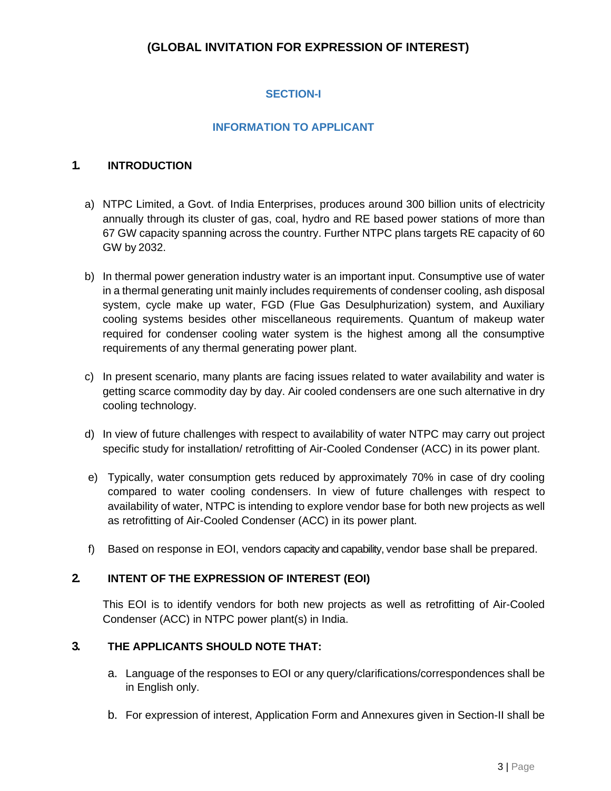# **SECTION-I**

### **INFORMATION TO APPLICANT**

#### **1. INTRODUCTION**

- a) NTPC Limited, a Govt. of India Enterprises, produces around 300 billion units of electricity annually through its cluster of gas, coal, hydro and RE based power stations of more than 67 GW capacity spanning across the country. Further NTPC plans targets RE capacity of 60 GW by 2032.
- b) In thermal power generation industry water is an important input. Consumptive use of water in a thermal generating unit mainly includes requirements of condenser cooling, ash disposal system, cycle make up water, FGD (Flue Gas Desulphurization) system, and Auxiliary cooling systems besides other miscellaneous requirements. Quantum of makeup water required for condenser cooling water system is the highest among all the consumptive requirements of any thermal generating power plant.
- c) In present scenario, many plants are facing issues related to water availability and water is getting scarce commodity day by day. Air cooled condensers are one such alternative in dry cooling technology.
- d) In view of future challenges with respect to availability of water NTPC may carry out project specific study for installation/ retrofitting of Air-Cooled Condenser (ACC) in its power plant.
- e) Typically, water consumption gets reduced by approximately 70% in case of dry cooling compared to water cooling condensers. In view of future challenges with respect to availability of water, NTPC is intending to explore vendor base for both new projects as well as retrofitting of Air-Cooled Condenser (ACC) in its power plant.
- f) Based on response in EOI, vendors capacity and capability, vendor base shall be prepared.

#### **2. INTENT OF THE EXPRESSION OF INTEREST (EOI)**

This EOI is to identify vendors for both new projects as well as retrofitting of Air-Cooled Condenser (ACC) in NTPC power plant(s) in India.

### **3. THE APPLICANTS SHOULD NOTE THAT:**

- a. Language of the responses to EOI or any query/clarifications/correspondences shall be in English only.
- b. For expression of interest, Application Form and Annexures given in Section-II shall be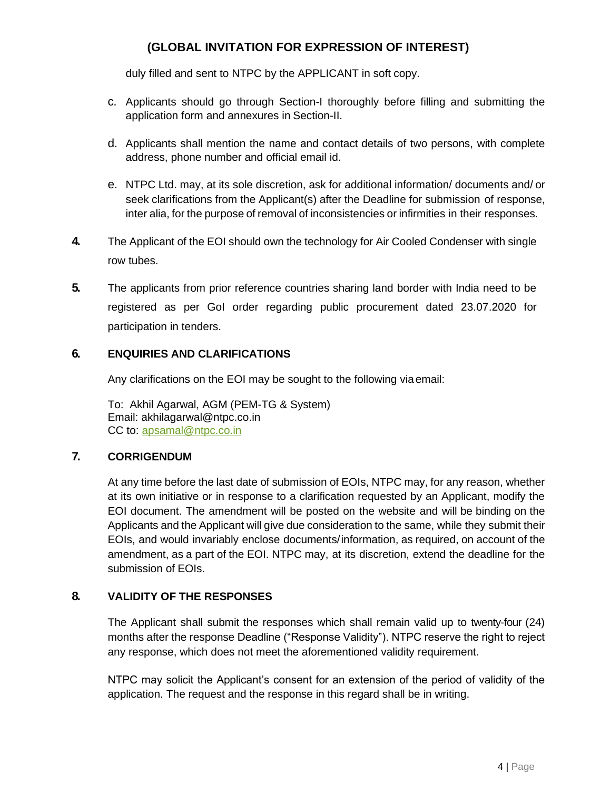duly filled and sent to NTPC by the APPLICANT in soft copy.

- c. Applicants should go through Section-I thoroughly before filling and submitting the application form and annexures in Section-II.
- d. Applicants shall mention the name and contact details of two persons, with complete address, phone number and official email id.
- e. NTPC Ltd. may, at its sole discretion, ask for additional information/ documents and/ or seek clarifications from the Applicant(s) after the Deadline for submission of response, inter alia, for the purpose of removal of inconsistencies or infirmities in their responses.
- **4.** The Applicant of the EOI should own the technology for Air Cooled Condenser with single row tubes.
- **5.** The applicants from prior reference countries sharing land border with India need to be registered as per GoI order regarding public procurement dated 23.07.2020 for participation in tenders.

### **6. ENQUIRIES AND CLARIFICATIONS**

Any clarifications on the EOI may be sought to the following via email:

To: Akhil Agarwal, AGM (PEM-TG & System) Email: akhilagarwal@ntpc.co.in CC to: [apsamal@ntpc.co.in](mailto:apsamal@ntpc.co.in)

### **7. CORRIGENDUM**

At any time before the last date of submission of EOIs, NTPC may, for any reason, whether at its own initiative or in response to a clarification requested by an Applicant, modify the EOI document. The amendment will be posted on the website and will be binding on the Applicants and the Applicant will give due consideration to the same, while they submit their EOIs, and would invariably enclose documents/information, as required, on account of the amendment, as a part of the EOI. NTPC may, at its discretion, extend the deadline for the submission of EOIs.

### **8. VALIDITY OF THE RESPONSES**

The Applicant shall submit the responses which shall remain valid up to twenty-four (24) months after the response Deadline ("Response Validity"). NTPC reserve the right to reject any response, which does not meet the aforementioned validity requirement.

NTPC may solicit the Applicant's consent for an extension of the period of validity of the application. The request and the response in this regard shall be in writing.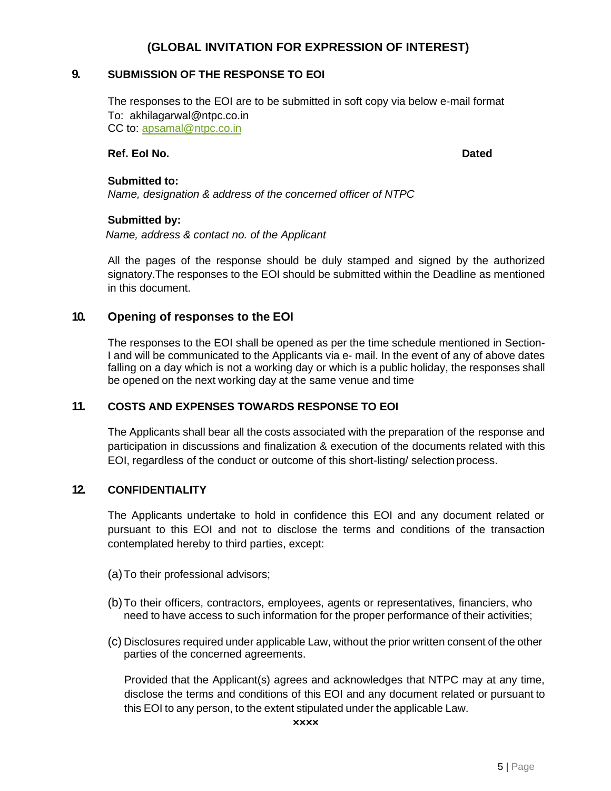#### **9. SUBMISSION OF THE RESPONSE TO EOI**

The responses to the EOI are to be submitted in soft copy via below e-mail format To: akhilagarwal@ntpc.co.in CC to: [apsamal@ntpc.co.in](mailto:apsamal@ntpc.co.in)

#### **Ref. EoI No. Dated**

#### **Submitted to:**

*Name, designation & address of the concerned officer of NTPC*

#### **Submitted by:**

*Name, address & contact no. of the Applicant*

All the pages of the response should be duly stamped and signed by the authorized signatory.The responses to the EOI should be submitted within the Deadline as mentioned in this document.

#### **10. Opening of responses to the EOI**

The responses to the EOI shall be opened as per the time schedule mentioned in Section-I and will be communicated to the Applicants via e- mail. In the event of any of above dates falling on a day which is not a working day or which is a public holiday, the responses shall be opened on the next working day at the same venue and time

#### **11. COSTS AND EXPENSES TOWARDS RESPONSE TO EOI**

The Applicants shall bear all the costs associated with the preparation of the response and participation in discussions and finalization & execution of the documents related with this EOI, regardless of the conduct or outcome of this short-listing/ selection process.

### **12. CONFIDENTIALITY**

The Applicants undertake to hold in confidence this EOI and any document related or pursuant to this EOI and not to disclose the terms and conditions of the transaction contemplated hereby to third parties, except:

- (a)To their professional advisors;
- (b)To their officers, contractors, employees, agents or representatives, financiers, who need to have access to such information for the proper performance of their activities;
- (c) Disclosures required under applicable Law, without the prior written consent of the other parties of the concerned agreements.

Provided that the Applicant(s) agrees and acknowledges that NTPC may at any time, disclose the terms and conditions of this EOI and any document related or pursuant to this EOI to any person, to the extent stipulated under the applicable Law.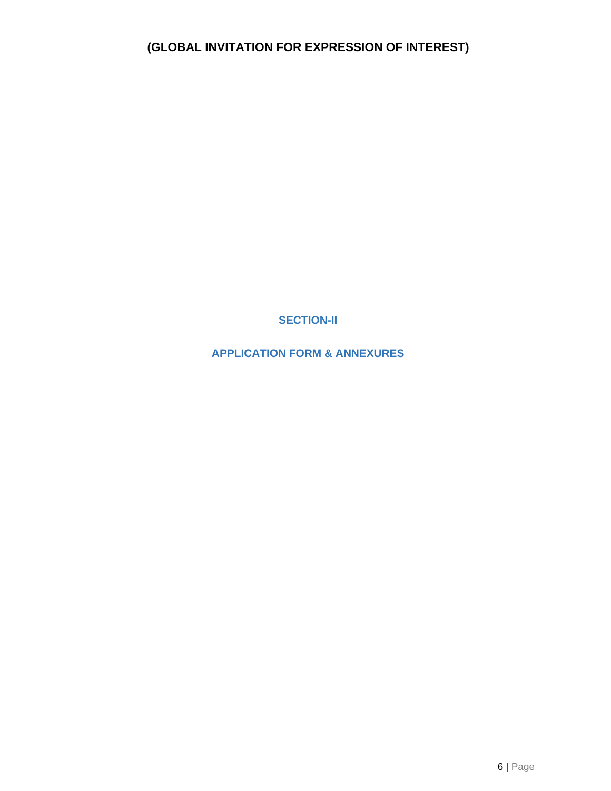**SECTION-II**

**APPLICATION FORM & ANNEXURES**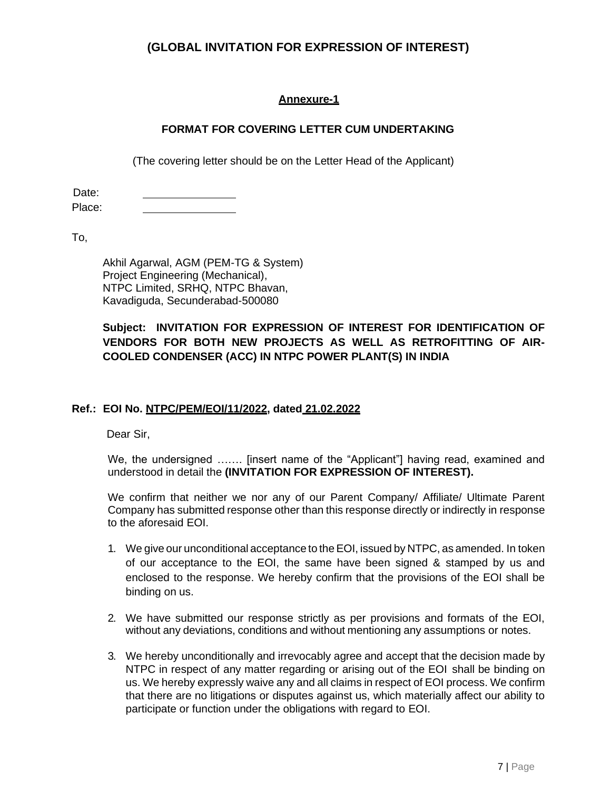### **Annexure-1**

### **FORMAT FOR COVERING LETTER CUM UNDERTAKING**

(The covering letter should be on the Letter Head of the Applicant)

Date: Place:

To,

Akhil Agarwal, AGM (PEM-TG & System) Project Engineering (Mechanical), NTPC Limited, SRHQ, NTPC Bhavan, Kavadiguda, Secunderabad-500080

### **Subject: INVITATION FOR EXPRESSION OF INTEREST FOR IDENTIFICATION OF VENDORS FOR BOTH NEW PROJECTS AS WELL AS RETROFITTING OF AIR-COOLED CONDENSER (ACC) IN NTPC POWER PLANT(S) IN INDIA**

#### **Ref.: EOI No. NTPC/PEM/EOI/11/2022, dated 21.02.2022**

Dear Sir,

We, the undersigned ……. [insert name of the "Applicant"] having read, examined and understood in detail the **(INVITATION FOR EXPRESSION OF INTEREST).**

We confirm that neither we nor any of our Parent Company/ Affiliate/ Ultimate Parent Company has submitted response other than this response directly or indirectly in response to the aforesaid EOI.

- 1. We give our unconditional acceptance to theEOI, issued by NTPC, as amended. In token of our acceptance to the EOI, the same have been signed & stamped by us and enclosed to the response. We hereby confirm that the provisions of the EOI shall be binding on us.
- 2. We have submitted our response strictly as per provisions and formats of the EOI, without any deviations, conditions and without mentioning any assumptions or notes.
- 3. We hereby unconditionally and irrevocably agree and accept that the decision made by NTPC in respect of any matter regarding or arising out of the EOI shall be binding on us. We hereby expressly waive any and all claims in respect of EOI process. We confirm that there are no litigations or disputes against us, which materially affect our ability to participate or function under the obligations with regard to EOI.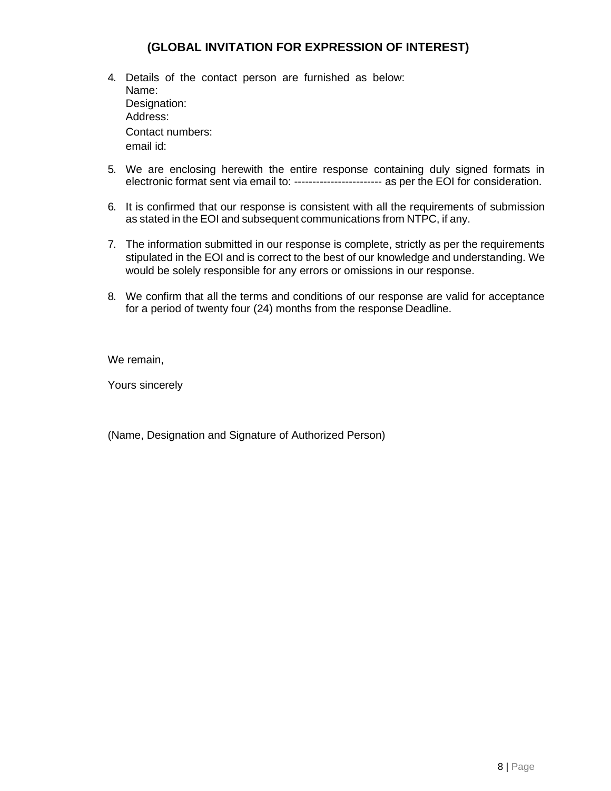- 4. Details of the contact person are furnished as below: Name: Designation: Address: Contact numbers: email id:
- 5. We are enclosing herewith the entire response containing duly signed formats in electronic format sent via email to: ------------------------ as per the EOI for consideration.
- 6. It is confirmed that our response is consistent with all the requirements of submission as stated in the EOI and subsequent communications from NTPC, if any.
- 7. The information submitted in our response is complete, strictly as per the requirements stipulated in the EOI and is correct to the best of our knowledge and understanding. We would be solely responsible for any errors or omissions in our response.
- 8. We confirm that all the terms and conditions of our response are valid for acceptance for a period of twenty four (24) months from the response Deadline.

We remain,

Yours sincerely

(Name, Designation and Signature of Authorized Person)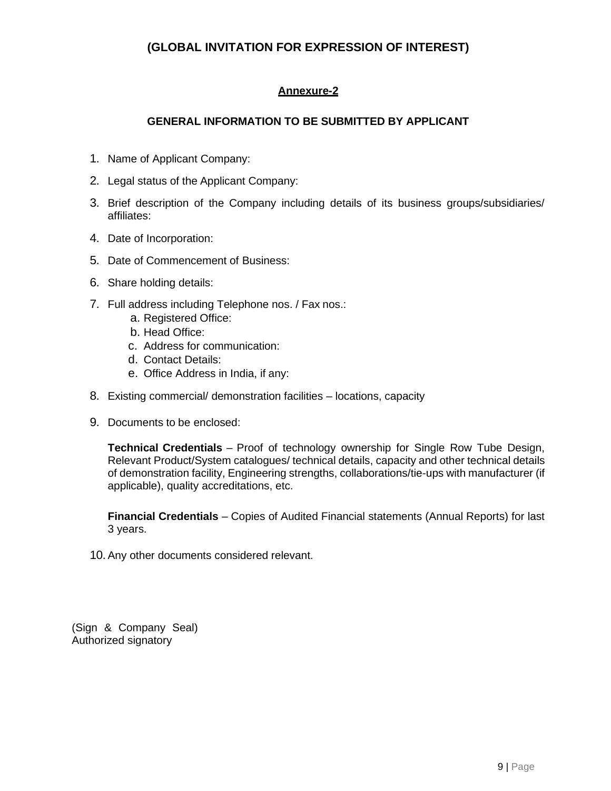# **Annexure-2**

### **GENERAL INFORMATION TO BE SUBMITTED BY APPLICANT**

- 1. Name of Applicant Company:
- 2. Legal status of the Applicant Company:
- 3. Brief description of the Company including details of its business groups/subsidiaries/ affiliates:
- 4. Date of Incorporation:
- 5. Date of Commencement of Business:
- 6. Share holding details:
- 7. Full address including Telephone nos. / Fax nos.:
	- a. Registered Office:
	- b. Head Office:
	- c. Address for communication:
	- d. Contact Details:
	- e. Office Address in India, if any:
- 8. Existing commercial/ demonstration facilities locations, capacity
- 9. Documents to be enclosed:

**Technical Credentials** – Proof of technology ownership for Single Row Tube Design, Relevant Product/System catalogues/ technical details, capacity and other technical details of demonstration facility, Engineering strengths, collaborations/tie-ups with manufacturer (if applicable), quality accreditations, etc.

**Financial Credentials** – Copies of Audited Financial statements (Annual Reports) for last 3 years.

10. Any other documents considered relevant.

(Sign & Company Seal) Authorized signatory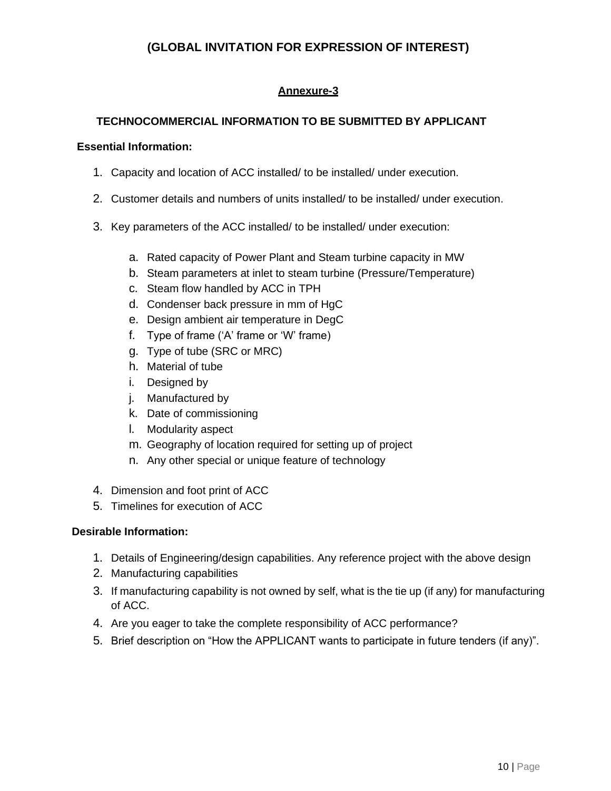# **Annexure-3**

### **TECHNOCOMMERCIAL INFORMATION TO BE SUBMITTED BY APPLICANT**

#### **Essential Information:**

- 1. Capacity and location of ACC installed/ to be installed/ under execution.
- 2. Customer details and numbers of units installed/ to be installed/ under execution.
- 3. Key parameters of the ACC installed/ to be installed/ under execution:
	- a. Rated capacity of Power Plant and Steam turbine capacity in MW
	- b. Steam parameters at inlet to steam turbine (Pressure/Temperature)
	- c. Steam flow handled by ACC in TPH
	- d. Condenser back pressure in mm of HgC
	- e. Design ambient air temperature in DegC
	- f. Type of frame ('A' frame or 'W' frame)
	- g. Type of tube (SRC or MRC)
	- h. Material of tube
	- i. Designed by
	- j. Manufactured by
	- k. Date of commissioning
	- l. Modularity aspect
	- m. Geography of location required for setting up of project
	- n. Any other special or unique feature of technology
- 4. Dimension and foot print of ACC
- 5. Timelines for execution of ACC

#### **Desirable Information:**

- 1. Details of Engineering/design capabilities. Any reference project with the above design
- 2. Manufacturing capabilities
- 3. If manufacturing capability is not owned by self, what is the tie up (if any) for manufacturing of ACC.
- 4. Are you eager to take the complete responsibility of ACC performance?
- 5. Brief description on "How the APPLICANT wants to participate in future tenders (if any)".